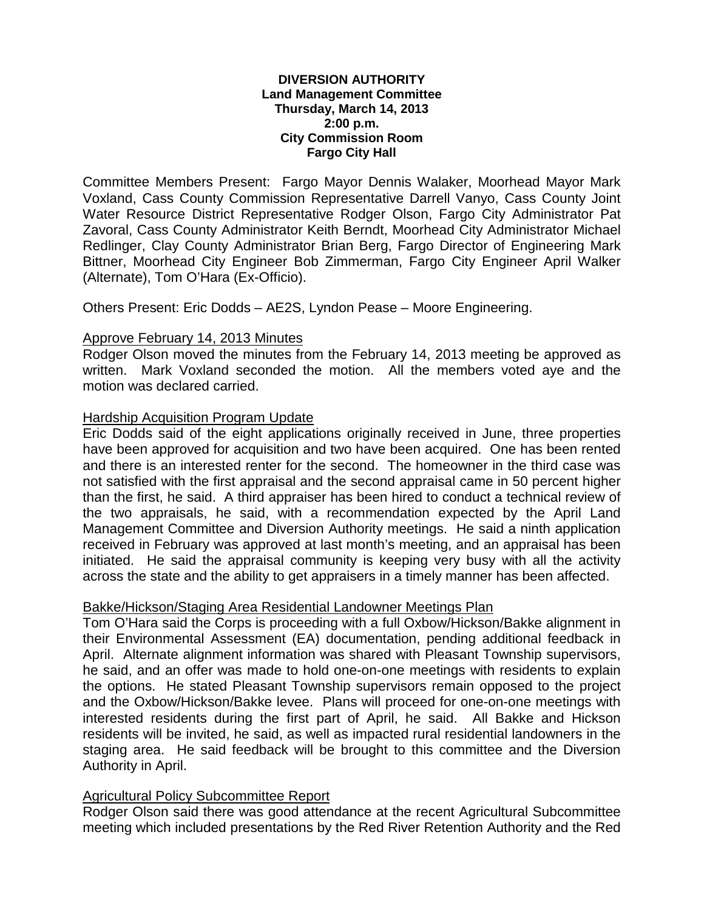#### **DIVERSION AUTHORITY Land Management Committee Thursday, March 14, 2013 2:00 p.m. City Commission Room Fargo City Hall**

Committee Members Present: Fargo Mayor Dennis Walaker, Moorhead Mayor Mark Voxland, Cass County Commission Representative Darrell Vanyo, Cass County Joint Water Resource District Representative Rodger Olson, Fargo City Administrator Pat Zavoral, Cass County Administrator Keith Berndt, Moorhead City Administrator Michael Redlinger, Clay County Administrator Brian Berg, Fargo Director of Engineering Mark Bittner, Moorhead City Engineer Bob Zimmerman, Fargo City Engineer April Walker (Alternate), Tom O'Hara (Ex-Officio).

Others Present: Eric Dodds – AE2S, Lyndon Pease – Moore Engineering.

## Approve February 14, 2013 Minutes

Rodger Olson moved the minutes from the February 14, 2013 meeting be approved as written. Mark Voxland seconded the motion. All the members voted aye and the motion was declared carried.

## Hardship Acquisition Program Update

Eric Dodds said of the eight applications originally received in June, three properties have been approved for acquisition and two have been acquired. One has been rented and there is an interested renter for the second. The homeowner in the third case was not satisfied with the first appraisal and the second appraisal came in 50 percent higher than the first, he said. A third appraiser has been hired to conduct a technical review of the two appraisals, he said, with a recommendation expected by the April Land Management Committee and Diversion Authority meetings. He said a ninth application received in February was approved at last month's meeting, and an appraisal has been initiated. He said the appraisal community is keeping very busy with all the activity across the state and the ability to get appraisers in a timely manner has been affected.

# Bakke/Hickson/Staging Area Residential Landowner Meetings Plan

Tom O'Hara said the Corps is proceeding with a full Oxbow/Hickson/Bakke alignment in their Environmental Assessment (EA) documentation, pending additional feedback in April. Alternate alignment information was shared with Pleasant Township supervisors, he said, and an offer was made to hold one-on-one meetings with residents to explain the options. He stated Pleasant Township supervisors remain opposed to the project and the Oxbow/Hickson/Bakke levee. Plans will proceed for one-on-one meetings with interested residents during the first part of April, he said. All Bakke and Hickson residents will be invited, he said, as well as impacted rural residential landowners in the staging area. He said feedback will be brought to this committee and the Diversion Authority in April.

### Agricultural Policy Subcommittee Report

Rodger Olson said there was good attendance at the recent Agricultural Subcommittee meeting which included presentations by the Red River Retention Authority and the Red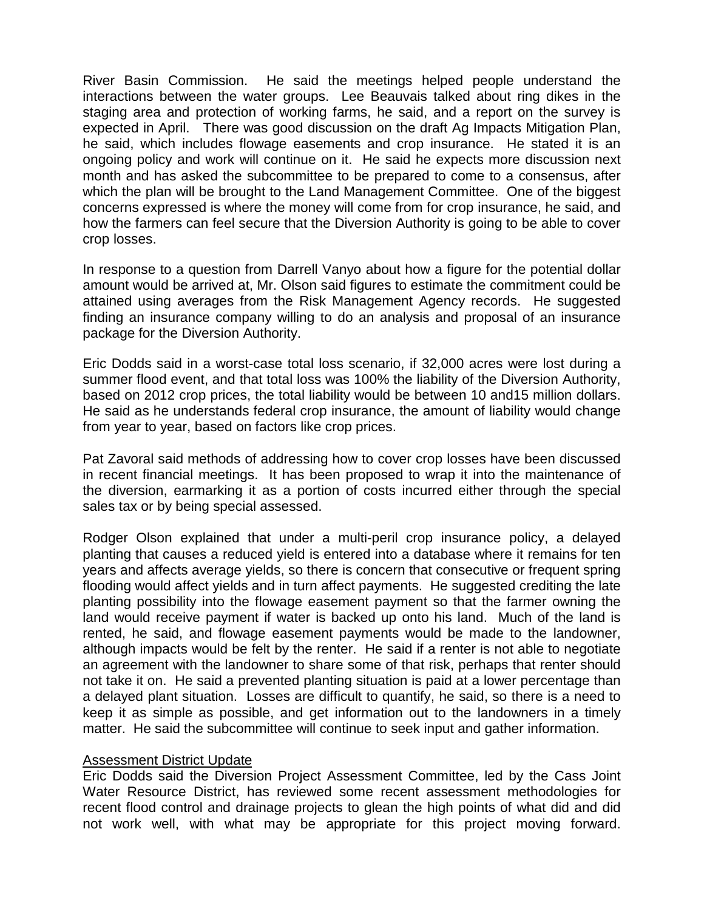River Basin Commission. He said the meetings helped people understand the interactions between the water groups. Lee Beauvais talked about ring dikes in the staging area and protection of working farms, he said, and a report on the survey is expected in April. There was good discussion on the draft Ag Impacts Mitigation Plan, he said, which includes flowage easements and crop insurance. He stated it is an ongoing policy and work will continue on it. He said he expects more discussion next month and has asked the subcommittee to be prepared to come to a consensus, after which the plan will be brought to the Land Management Committee. One of the biggest concerns expressed is where the money will come from for crop insurance, he said, and how the farmers can feel secure that the Diversion Authority is going to be able to cover crop losses.

In response to a question from Darrell Vanyo about how a figure for the potential dollar amount would be arrived at, Mr. Olson said figures to estimate the commitment could be attained using averages from the Risk Management Agency records. He suggested finding an insurance company willing to do an analysis and proposal of an insurance package for the Diversion Authority.

Eric Dodds said in a worst-case total loss scenario, if 32,000 acres were lost during a summer flood event, and that total loss was 100% the liability of the Diversion Authority, based on 2012 crop prices, the total liability would be between 10 and15 million dollars. He said as he understands federal crop insurance, the amount of liability would change from year to year, based on factors like crop prices.

Pat Zavoral said methods of addressing how to cover crop losses have been discussed in recent financial meetings. It has been proposed to wrap it into the maintenance of the diversion, earmarking it as a portion of costs incurred either through the special sales tax or by being special assessed.

Rodger Olson explained that under a multi-peril crop insurance policy, a delayed planting that causes a reduced yield is entered into a database where it remains for ten years and affects average yields, so there is concern that consecutive or frequent spring flooding would affect yields and in turn affect payments. He suggested crediting the late planting possibility into the flowage easement payment so that the farmer owning the land would receive payment if water is backed up onto his land. Much of the land is rented, he said, and flowage easement payments would be made to the landowner, although impacts would be felt by the renter. He said if a renter is not able to negotiate an agreement with the landowner to share some of that risk, perhaps that renter should not take it on. He said a prevented planting situation is paid at a lower percentage than a delayed plant situation. Losses are difficult to quantify, he said, so there is a need to keep it as simple as possible, and get information out to the landowners in a timely matter. He said the subcommittee will continue to seek input and gather information.

### Assessment District Update

Eric Dodds said the Diversion Project Assessment Committee, led by the Cass Joint Water Resource District, has reviewed some recent assessment methodologies for recent flood control and drainage projects to glean the high points of what did and did not work well, with what may be appropriate for this project moving forward.